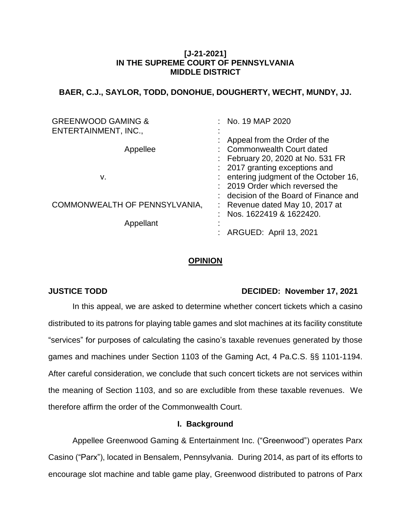# **[J-21-2021] IN THE SUPREME COURT OF PENNSYLVANIA MIDDLE DISTRICT**

# **BAER, C.J., SAYLOR, TODD, DONOHUE, DOUGHERTY, WECHT, MUNDY, JJ.**

| <b>GREENWOOD GAMING &amp;</b><br>ENTERTAINMENT, INC., | : No. 19 MAP 2020                      |
|-------------------------------------------------------|----------------------------------------|
|                                                       | : Appeal from the Order of the         |
| Appellee                                              | : Commonwealth Court dated             |
|                                                       | : February 20, 2020 at No. 531 FR      |
|                                                       | : 2017 granting exceptions and         |
| v.                                                    | : entering judgment of the October 16, |
|                                                       | : 2019 Order which reversed the        |
|                                                       | : decision of the Board of Finance and |
| COMMONWEALTH OF PENNSYLVANIA,                         | : Revenue dated May 10, 2017 at        |
|                                                       | Nos. 1622419 & 1622420.<br>٠           |
| Appellant                                             |                                        |
|                                                       | ARGUED: April 13, 2021                 |

## **OPINION**

# **JUSTICE TODD DECIDED: November 17, 2021**

In this appeal, we are asked to determine whether concert tickets which a casino distributed to its patrons for playing table games and slot machines at its facility constitute "services" for purposes of calculating the casino's taxable revenues generated by those games and machines under Section 1103 of the Gaming Act, 4 Pa.C.S. §§ 1101-1194. After careful consideration, we conclude that such concert tickets are not services within the meaning of Section 1103, and so are excludible from these taxable revenues. We therefore affirm the order of the Commonwealth Court.

## **I. Background**

Appellee Greenwood Gaming & Entertainment Inc. ("Greenwood") operates Parx Casino ("Parx"), located in Bensalem, Pennsylvania. During 2014, as part of its efforts to encourage slot machine and table game play, Greenwood distributed to patrons of Parx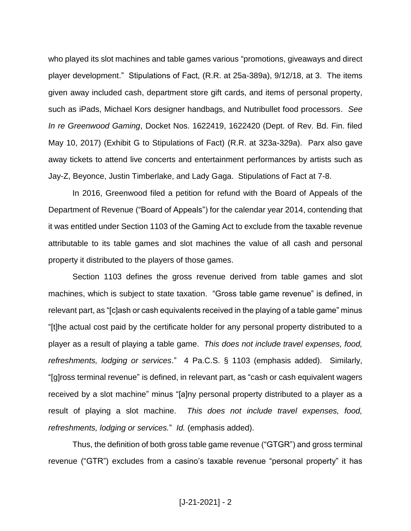who played its slot machines and table games various "promotions, giveaways and direct player development." Stipulations of Fact, (R.R. at 25a-389a), 9/12/18, at 3. The items given away included cash, department store gift cards, and items of personal property, such as iPads, Michael Kors designer handbags, and Nutribullet food processors. *See In re Greenwood Gaming*, Docket Nos. 1622419, 1622420 (Dept. of Rev. Bd. Fin. filed May 10, 2017) (Exhibit G to Stipulations of Fact) (R.R. at 323a-329a). Parx also gave away tickets to attend live concerts and entertainment performances by artists such as Jay-Z, Beyonce, Justin Timberlake, and Lady Gaga. Stipulations of Fact at 7-8.

In 2016, Greenwood filed a petition for refund with the Board of Appeals of the Department of Revenue ("Board of Appeals") for the calendar year 2014, contending that it was entitled under Section 1103 of the Gaming Act to exclude from the taxable revenue attributable to its table games and slot machines the value of all cash and personal property it distributed to the players of those games.

Section 1103 defines the gross revenue derived from table games and slot machines, which is subject to state taxation. "Gross table game revenue" is defined, in relevant part, as "[c]ash or cash equivalents received in the playing of a table game" minus "[t]he actual cost paid by the certificate holder for any personal property distributed to a player as a result of playing a table game. *This does not include travel expenses, food, refreshments, lodging or services*." 4 Pa.C.S. § 1103 (emphasis added). Similarly, "[g]ross terminal revenue" is defined, in relevant part, as "cash or cash equivalent wagers received by a slot machine" minus "[a]ny personal property distributed to a player as a result of playing a slot machine. *This does not include travel expenses, food, refreshments, lodging or services.*" *Id.* (emphasis added).

Thus, the definition of both gross table game revenue ("GTGR") and gross terminal revenue ("GTR") excludes from a casino's taxable revenue "personal property" it has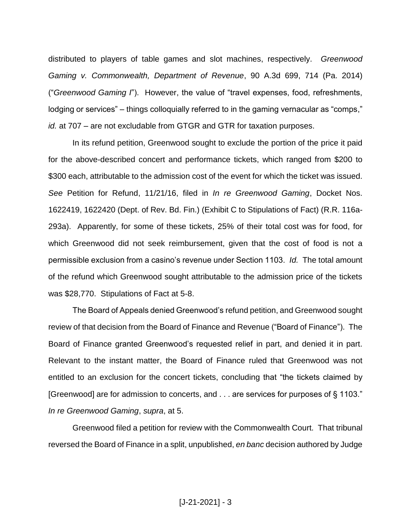distributed to players of table games and slot machines, respectively. *Greenwood Gaming v. Commonwealth, Department of Revenue*, 90 A.3d 699, 714 (Pa. 2014) ("*Greenwood Gaming I*"). However, the value of "travel expenses, food, refreshments, lodging or services" – things colloquially referred to in the gaming vernacular as "comps," *id.* at 707 – are not excludable from GTGR and GTR for taxation purposes.

In its refund petition, Greenwood sought to exclude the portion of the price it paid for the above-described concert and performance tickets, which ranged from \$200 to \$300 each, attributable to the admission cost of the event for which the ticket was issued. *See* Petition for Refund, 11/21/16, filed in *In re Greenwood Gaming*, Docket Nos. 1622419, 1622420 (Dept. of Rev. Bd. Fin.) (Exhibit C to Stipulations of Fact) (R.R. 116a-293a). Apparently, for some of these tickets, 25% of their total cost was for food, for which Greenwood did not seek reimbursement, given that the cost of food is not a permissible exclusion from a casino's revenue under Section 1103. *Id.* The total amount of the refund which Greenwood sought attributable to the admission price of the tickets was \$28,770. Stipulations of Fact at 5-8.

The Board of Appeals denied Greenwood's refund petition, and Greenwood sought review of that decision from the Board of Finance and Revenue ("Board of Finance"). The Board of Finance granted Greenwood's requested relief in part, and denied it in part. Relevant to the instant matter, the Board of Finance ruled that Greenwood was not entitled to an exclusion for the concert tickets, concluding that "the tickets claimed by [Greenwood] are for admission to concerts, and . . . are services for purposes of § 1103." *In re Greenwood Gaming*, *supra*, at 5.

Greenwood filed a petition for review with the Commonwealth Court. That tribunal reversed the Board of Finance in a split, unpublished, *en banc* decision authored by Judge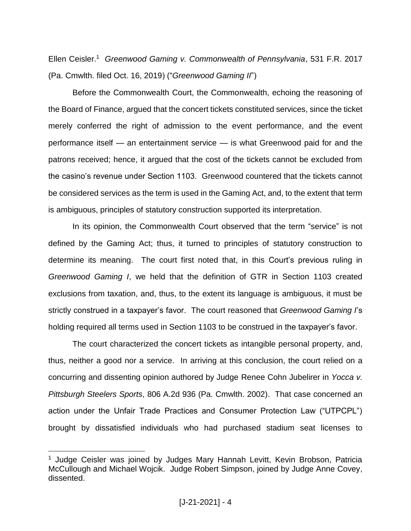Ellen Ceisler.<sup>1</sup> *Greenwood Gaming v. Commonwealth of Pennsylvania*, 531 F.R. 2017 (Pa. Cmwlth. filed Oct. 16, 2019) ("*Greenwood Gaming II*")

Before the Commonwealth Court, the Commonwealth, echoing the reasoning of the Board of Finance, argued that the concert tickets constituted services, since the ticket merely conferred the right of admission to the event performance, and the event performance itself — an entertainment service — is what Greenwood paid for and the patrons received; hence, it argued that the cost of the tickets cannot be excluded from the casino's revenue under Section 1103. Greenwood countered that the tickets cannot be considered services as the term is used in the Gaming Act, and, to the extent that term is ambiguous, principles of statutory construction supported its interpretation.

In its opinion, the Commonwealth Court observed that the term "service" is not defined by the Gaming Act; thus, it turned to principles of statutory construction to determine its meaning. The court first noted that, in this Court's previous ruling in *Greenwood Gaming I*, we held that the definition of GTR in Section 1103 created exclusions from taxation, and, thus, to the extent its language is ambiguous, it must be strictly construed in a taxpayer's favor. The court reasoned that *Greenwood Gaming I*'s holding required all terms used in Section 1103 to be construed in the taxpayer's favor.

The court characterized the concert tickets as intangible personal property, and, thus, neither a good nor a service. In arriving at this conclusion, the court relied on a concurring and dissenting opinion authored by Judge Renee Cohn Jubelirer in *Yocca v. Pittsburgh Steelers Sports*, 806 A.2d 936 (Pa. Cmwlth. 2002). That case concerned an action under the Unfair Trade Practices and Consumer Protection Law ("UTPCPL") brought by dissatisfied individuals who had purchased stadium seat licenses to

<sup>&</sup>lt;sup>1</sup> Judge Ceisler was joined by Judges Mary Hannah Levitt, Kevin Brobson, Patricia McCullough and Michael Wojcik. Judge Robert Simpson, joined by Judge Anne Covey, dissented.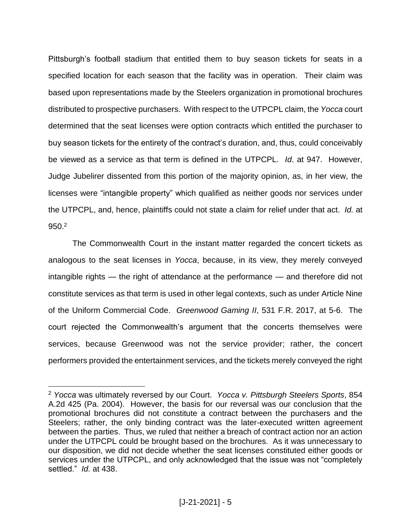Pittsburgh's football stadium that entitled them to buy season tickets for seats in a specified location for each season that the facility was in operation. Their claim was based upon representations made by the Steelers organization in promotional brochures distributed to prospective purchasers. With respect to the UTPCPL claim, the *Yocca* court determined that the seat licenses were option contracts which entitled the purchaser to buy season tickets for the entirety of the contract's duration, and, thus, could conceivably be viewed as a service as that term is defined in the UTPCPL. *Id*. at 947. However, Judge Jubelirer dissented from this portion of the majority opinion, as, in her view, the licenses were "intangible property" which qualified as neither goods nor services under the UTPCPL, and, hence, plaintiffs could not state a claim for relief under that act. *Id.* at 950. 2

The Commonwealth Court in the instant matter regarded the concert tickets as analogous to the seat licenses in *Yocca*, because, in its view, they merely conveyed intangible rights — the right of attendance at the performance — and therefore did not constitute services as that term is used in other legal contexts, such as under Article Nine of the Uniform Commercial Code. *Greenwood Gaming II*, 531 F.R. 2017, at 5-6. The court rejected the Commonwealth's argument that the concerts themselves were services, because Greenwood was not the service provider; rather, the concert performers provided the entertainment services, and the tickets merely conveyed the right

<sup>2</sup> *Yocca* was ultimately reversed by our Court. *Yocca v. Pittsburgh Steelers Sports*, 854 A.2d 425 (Pa. 2004). However, the basis for our reversal was our conclusion that the promotional brochures did not constitute a contract between the purchasers and the Steelers; rather, the only binding contract was the later-executed written agreement between the parties. Thus, we ruled that neither a breach of contract action nor an action under the UTPCPL could be brought based on the brochures. As it was unnecessary to our disposition, we did not decide whether the seat licenses constituted either goods or services under the UTPCPL, and only acknowledged that the issue was not "completely settled." *Id.* at 438.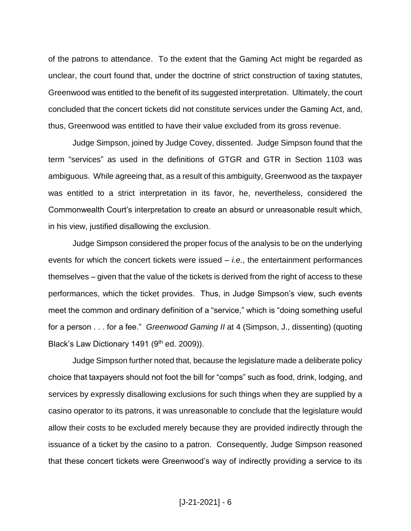of the patrons to attendance. To the extent that the Gaming Act might be regarded as unclear, the court found that, under the doctrine of strict construction of taxing statutes, Greenwood was entitled to the benefit of its suggested interpretation. Ultimately, the court concluded that the concert tickets did not constitute services under the Gaming Act, and, thus, Greenwood was entitled to have their value excluded from its gross revenue.

Judge Simpson, joined by Judge Covey, dissented. Judge Simpson found that the term "services" as used in the definitions of GTGR and GTR in Section 1103 was ambiguous. While agreeing that, as a result of this ambiguity, Greenwood as the taxpayer was entitled to a strict interpretation in its favor, he, nevertheless, considered the Commonwealth Court's interpretation to create an absurd or unreasonable result which, in his view, justified disallowing the exclusion.

Judge Simpson considered the proper focus of the analysis to be on the underlying events for which the concert tickets were issued – *i.e.*, the entertainment performances themselves – given that the value of the tickets is derived from the right of access to these performances, which the ticket provides. Thus, in Judge Simpson's view, such events meet the common and ordinary definition of a "service," which is "doing something useful for a person . . . for a fee." *Greenwood Gaming II* at 4 (Simpson, J., dissenting) (quoting Black's Law Dictionary 1491 (9th ed. 2009)).

Judge Simpson further noted that, because the legislature made a deliberate policy choice that taxpayers should not foot the bill for "comps" such as food, drink, lodging, and services by expressly disallowing exclusions for such things when they are supplied by a casino operator to its patrons, it was unreasonable to conclude that the legislature would allow their costs to be excluded merely because they are provided indirectly through the issuance of a ticket by the casino to a patron. Consequently, Judge Simpson reasoned that these concert tickets were Greenwood's way of indirectly providing a service to its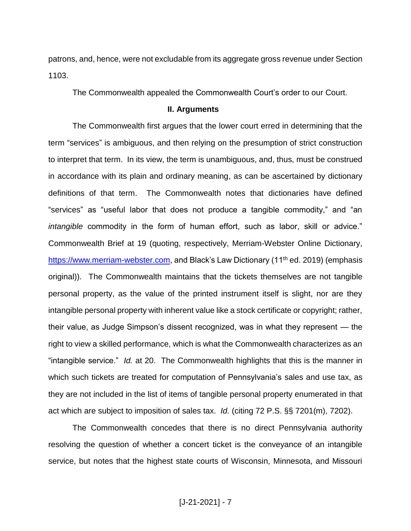patrons, and, hence, were not excludable from its aggregate gross revenue under Section 1103.

The Commonwealth appealed the Commonwealth Court's order to our Court.

### **II. Arguments**

The Commonwealth first argues that the lower court erred in determining that the term "services" is ambiguous, and then relying on the presumption of strict construction to interpret that term. In its view, the term is unambiguous, and, thus, must be construed in accordance with its plain and ordinary meaning, as can be ascertained by dictionary definitions of that term. The Commonwealth notes that dictionaries have defined "services" as "useful labor that does not produce a tangible commodity," and "an *intangible* commodity in the form of human effort, such as labor, skill or advice." Commonwealth Brief at 19 (quoting, respectively, Merriam-Webster Online Dictionary, [https://www.merriam-webster.com,](https://www.merriam-webster.com/) and Black's Law Dictionary (11<sup>th</sup> ed. 2019) (emphasis original)). The Commonwealth maintains that the tickets themselves are not tangible personal property, as the value of the printed instrument itself is slight, nor are they intangible personal property with inherent value like a stock certificate or copyright; rather, their value, as Judge Simpson's dissent recognized, was in what they represent — the right to view a skilled performance, which is what the Commonwealth characterizes as an "intangible service." *Id.* at 20. The Commonwealth highlights that this is the manner in which such tickets are treated for computation of Pennsylvania's sales and use tax, as they are not included in the list of items of tangible personal property enumerated in that act which are subject to imposition of sales tax. *Id.* (citing 72 P.S. §§ 7201(m), 7202).

The Commonwealth concedes that there is no direct Pennsylvania authority resolving the question of whether a concert ticket is the conveyance of an intangible service, but notes that the highest state courts of Wisconsin, Minnesota, and Missouri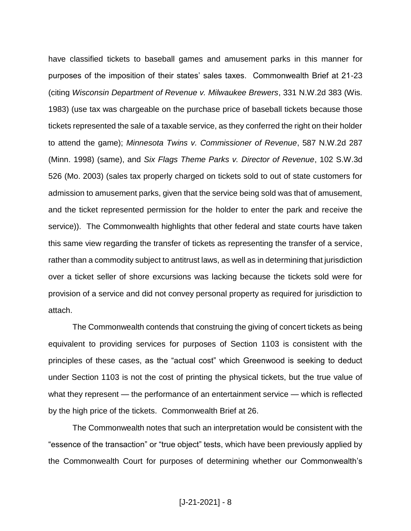have classified tickets to baseball games and amusement parks in this manner for purposes of the imposition of their states' sales taxes. Commonwealth Brief at 21-23 (citing *Wisconsin Department of Revenue v. Milwaukee Brewers*, 331 N.W.2d 383 (Wis. 1983) (use tax was chargeable on the purchase price of baseball tickets because those tickets represented the sale of a taxable service, as they conferred the right on their holder to attend the game); *Minnesota Twins v. Commissioner of Revenue*, 587 N.W.2d 287 (Minn. 1998) (same), and *Six Flags Theme Parks v. Director of Revenue*, 102 S.W.3d 526 (Mo. 2003) (sales tax properly charged on tickets sold to out of state customers for admission to amusement parks, given that the service being sold was that of amusement, and the ticket represented permission for the holder to enter the park and receive the service)). The Commonwealth highlights that other federal and state courts have taken this same view regarding the transfer of tickets as representing the transfer of a service, rather than a commodity subject to antitrust laws, as well as in determining that jurisdiction over a ticket seller of shore excursions was lacking because the tickets sold were for provision of a service and did not convey personal property as required for jurisdiction to attach.

The Commonwealth contends that construing the giving of concert tickets as being equivalent to providing services for purposes of Section 1103 is consistent with the principles of these cases, as the "actual cost" which Greenwood is seeking to deduct under Section 1103 is not the cost of printing the physical tickets, but the true value of what they represent — the performance of an entertainment service — which is reflected by the high price of the tickets. Commonwealth Brief at 26.

The Commonwealth notes that such an interpretation would be consistent with the "essence of the transaction" or "true object" tests, which have been previously applied by the Commonwealth Court for purposes of determining whether our Commonwealth's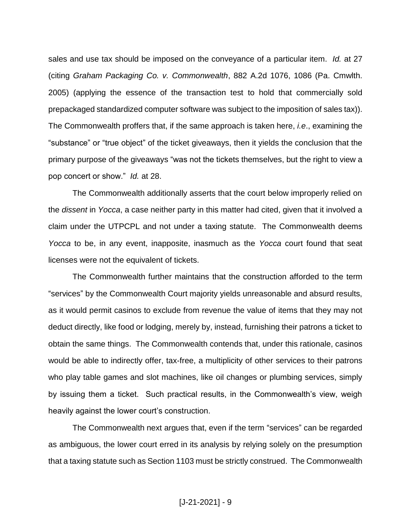sales and use tax should be imposed on the conveyance of a particular item. *Id.* at 27 (citing *Graham Packaging Co. v. Commonwealth*, 882 A.2d 1076, 1086 (Pa. Cmwlth. 2005) (applying the essence of the transaction test to hold that commercially sold prepackaged standardized computer software was subject to the imposition of sales tax)). The Commonwealth proffers that, if the same approach is taken here, *i.e*., examining the "substance" or "true object" of the ticket giveaways, then it yields the conclusion that the primary purpose of the giveaways "was not the tickets themselves, but the right to view a pop concert or show." *Id.* at 28.

The Commonwealth additionally asserts that the court below improperly relied on the *dissent* in *Yocca*, a case neither party in this matter had cited, given that it involved a claim under the UTPCPL and not under a taxing statute. The Commonwealth deems *Yocca* to be, in any event, inapposite, inasmuch as the *Yocca* court found that seat licenses were not the equivalent of tickets.

The Commonwealth further maintains that the construction afforded to the term "services" by the Commonwealth Court majority yields unreasonable and absurd results, as it would permit casinos to exclude from revenue the value of items that they may not deduct directly, like food or lodging, merely by, instead, furnishing their patrons a ticket to obtain the same things. The Commonwealth contends that, under this rationale, casinos would be able to indirectly offer, tax-free, a multiplicity of other services to their patrons who play table games and slot machines, like oil changes or plumbing services, simply by issuing them a ticket. Such practical results, in the Commonwealth's view, weigh heavily against the lower court's construction.

The Commonwealth next argues that, even if the term "services" can be regarded as ambiguous, the lower court erred in its analysis by relying solely on the presumption that a taxing statute such as Section 1103 must be strictly construed. The Commonwealth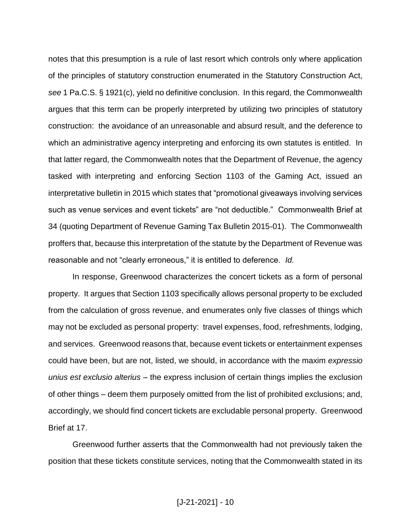notes that this presumption is a rule of last resort which controls only where application of the principles of statutory construction enumerated in the Statutory Construction Act, *see* 1 Pa.C.S. § 1921(c), yield no definitive conclusion. In this regard, the Commonwealth argues that this term can be properly interpreted by utilizing two principles of statutory construction: the avoidance of an unreasonable and absurd result, and the deference to which an administrative agency interpreting and enforcing its own statutes is entitled. In that latter regard, the Commonwealth notes that the Department of Revenue, the agency tasked with interpreting and enforcing Section 1103 of the Gaming Act, issued an interpretative bulletin in 2015 which states that "promotional giveaways involving services such as venue services and event tickets" are "not deductible." Commonwealth Brief at 34 (quoting Department of Revenue Gaming Tax Bulletin 2015-01). The Commonwealth proffers that, because this interpretation of the statute by the Department of Revenue was reasonable and not "clearly erroneous," it is entitled to deference. *Id.*

In response, Greenwood characterizes the concert tickets as a form of personal property. It argues that Section 1103 specifically allows personal property to be excluded from the calculation of gross revenue, and enumerates only five classes of things which may not be excluded as personal property: travel expenses, food, refreshments, lodging, and services. Greenwood reasons that, because event tickets or entertainment expenses could have been, but are not, listed, we should, in accordance with the maxim *expressio unius est exclusio alterius –* the express inclusion of certain things implies the exclusion of other things – deem them purposely omitted from the list of prohibited exclusions; and, accordingly, we should find concert tickets are excludable personal property. Greenwood Brief at 17.

Greenwood further asserts that the Commonwealth had not previously taken the position that these tickets constitute services, noting that the Commonwealth stated in its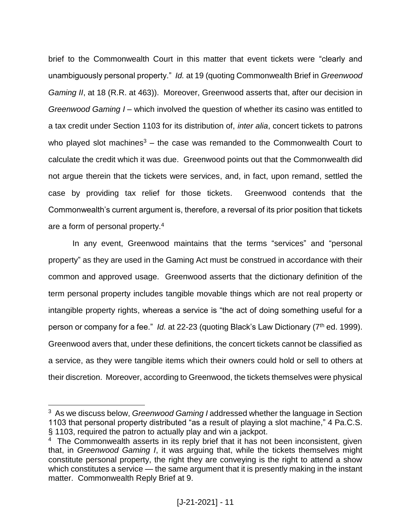brief to the Commonwealth Court in this matter that event tickets were "clearly and unambiguously personal property." *Id.* at 19 (quoting Commonwealth Brief in *Greenwood Gaming II*, at 18 (R.R. at 463)). Moreover, Greenwood asserts that, after our decision in *Greenwood Gaming I* – which involved the question of whether its casino was entitled to a tax credit under Section 1103 for its distribution of, *inter alia*, concert tickets to patrons who played slot machines<sup>3</sup> – the case was remanded to the Commonwealth Court to calculate the credit which it was due. Greenwood points out that the Commonwealth did not argue therein that the tickets were services, and, in fact, upon remand, settled the case by providing tax relief for those tickets. Greenwood contends that the Commonwealth's current argument is, therefore, a reversal of its prior position that tickets are a form of personal property.<sup>4</sup>

In any event, Greenwood maintains that the terms "services" and "personal property" as they are used in the Gaming Act must be construed in accordance with their common and approved usage. Greenwood asserts that the dictionary definition of the term personal property includes tangible movable things which are not real property or intangible property rights, whereas a service is "the act of doing something useful for a person or company for a fee." Id. at 22-23 (quoting Black's Law Dictionary (7<sup>th</sup> ed. 1999). Greenwood avers that, under these definitions, the concert tickets cannot be classified as a service, as they were tangible items which their owners could hold or sell to others at their discretion. Moreover, according to Greenwood, the tickets themselves were physical

<sup>3</sup> As we discuss below, *Greenwood Gaming I* addressed whether the language in Section 1103 that personal property distributed "as a result of playing a slot machine," 4 Pa.C.S. § 1103, required the patron to actually play and win a jackpot.

<sup>&</sup>lt;sup>4</sup> The Commonwealth asserts in its reply brief that it has not been inconsistent, given that, in *Greenwood Gaming I*, it was arguing that, while the tickets themselves might constitute personal property, the right they are conveying is the right to attend a show which constitutes a service — the same argument that it is presently making in the instant matter. Commonwealth Reply Brief at 9.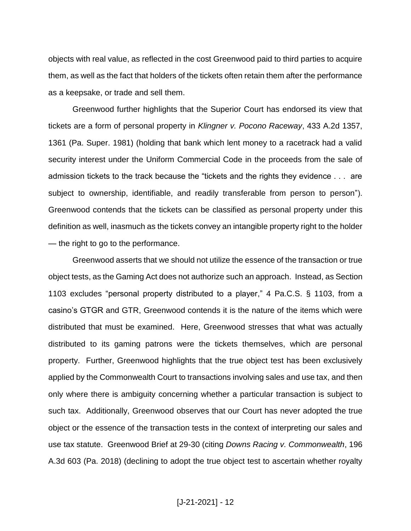objects with real value, as reflected in the cost Greenwood paid to third parties to acquire them, as well as the fact that holders of the tickets often retain them after the performance as a keepsake, or trade and sell them.

Greenwood further highlights that the Superior Court has endorsed its view that tickets are a form of personal property in *Klingner v. Pocono Raceway*, 433 A.2d 1357, 1361 (Pa. Super. 1981) (holding that bank which lent money to a racetrack had a valid security interest under the Uniform Commercial Code in the proceeds from the sale of admission tickets to the track because the "tickets and the rights they evidence . . . are subject to ownership, identifiable, and readily transferable from person to person"). Greenwood contends that the tickets can be classified as personal property under this definition as well, inasmuch as the tickets convey an intangible property right to the holder — the right to go to the performance.

Greenwood asserts that we should not utilize the essence of the transaction or true object tests, as the Gaming Act does not authorize such an approach. Instead, as Section 1103 excludes "personal property distributed to a player," 4 Pa.C.S. § 1103, from a casino's GTGR and GTR, Greenwood contends it is the nature of the items which were distributed that must be examined. Here, Greenwood stresses that what was actually distributed to its gaming patrons were the tickets themselves, which are personal property. Further, Greenwood highlights that the true object test has been exclusively applied by the Commonwealth Court to transactions involving sales and use tax, and then only where there is ambiguity concerning whether a particular transaction is subject to such tax. Additionally, Greenwood observes that our Court has never adopted the true object or the essence of the transaction tests in the context of interpreting our sales and use tax statute. Greenwood Brief at 29-30 (citing *Downs Racing v. Commonwealth*, 196 A.3d 603 (Pa. 2018) (declining to adopt the true object test to ascertain whether royalty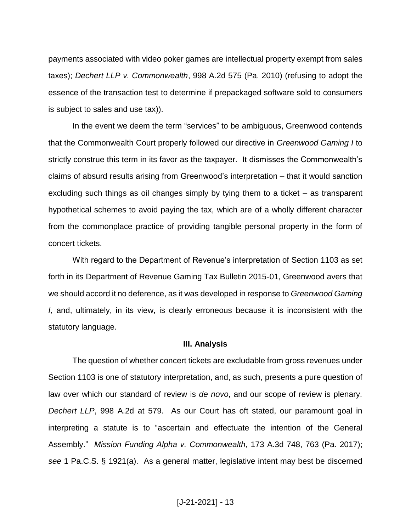payments associated with video poker games are intellectual property exempt from sales taxes); *Dechert LLP v. Commonwealth*, 998 A.2d 575 (Pa. 2010) (refusing to adopt the essence of the transaction test to determine if prepackaged software sold to consumers is subject to sales and use tax)).

In the event we deem the term "services" to be ambiguous, Greenwood contends that the Commonwealth Court properly followed our directive in *Greenwood Gaming I* to strictly construe this term in its favor as the taxpayer. It dismisses the Commonwealth's claims of absurd results arising from Greenwood's interpretation – that it would sanction excluding such things as oil changes simply by tying them to a ticket – as transparent hypothetical schemes to avoid paying the tax, which are of a wholly different character from the commonplace practice of providing tangible personal property in the form of concert tickets.

With regard to the Department of Revenue's interpretation of Section 1103 as set forth in its Department of Revenue Gaming Tax Bulletin 2015-01, Greenwood avers that we should accord it no deference, as it was developed in response to *Greenwood Gaming I,* and, ultimately, in its view, is clearly erroneous because it is inconsistent with the statutory language.

#### **III. Analysis**

The question of whether concert tickets are excludable from gross revenues under Section 1103 is one of statutory interpretation, and, as such, presents a pure question of law over which our standard of review is *de novo*, and our scope of review is plenary. *Dechert LLP*, 998 A.2d at 579. As our Court has oft stated, our paramount goal in interpreting a statute is to "ascertain and effectuate the intention of the General Assembly." *Mission Funding Alpha v. Commonwealth*, 173 A.3d 748, 763 (Pa. 2017); *see* 1 Pa.C.S. § 1921(a). As a general matter, legislative intent may best be discerned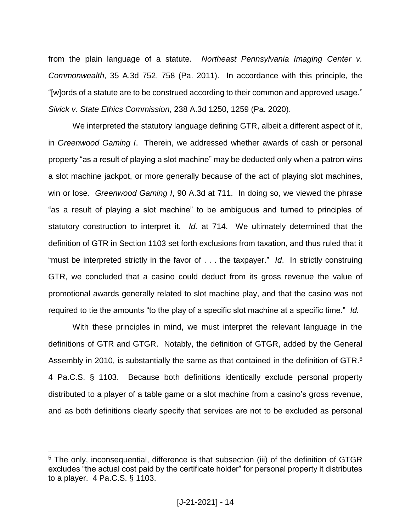from the plain language of a statute. *Northeast Pennsylvania Imaging Center v. Commonwealth*, 35 A.3d 752, 758 (Pa. 2011). In accordance with this principle, the "[w]ords of a statute are to be construed according to their common and approved usage." *Sivick v. State Ethics Commission*, 238 A.3d 1250, 1259 (Pa. 2020).

We interpreted the statutory language defining GTR, albeit a different aspect of it, in *Greenwood Gaming I*. Therein, we addressed whether awards of cash or personal property "as a result of playing a slot machine" may be deducted only when a patron wins a slot machine jackpot, or more generally because of the act of playing slot machines, win or lose. *Greenwood Gaming I*, 90 A.3d at 711. In doing so, we viewed the phrase "as a result of playing a slot machine" to be ambiguous and turned to principles of statutory construction to interpret it. *Id.* at 714. We ultimately determined that the definition of GTR in Section 1103 set forth exclusions from taxation, and thus ruled that it "must be interpreted strictly in the favor of . . . the taxpayer." *Id*. In strictly construing GTR, we concluded that a casino could deduct from its gross revenue the value of promotional awards generally related to slot machine play, and that the casino was not required to tie the amounts "to the play of a specific slot machine at a specific time." *Id.*

With these principles in mind, we must interpret the relevant language in the definitions of GTR and GTGR. Notably, the definition of GTGR, added by the General Assembly in 2010, is substantially the same as that contained in the definition of GTR.<sup>5</sup> 4 Pa.C.S. § 1103. Because both definitions identically exclude personal property distributed to a player of a table game or a slot machine from a casino's gross revenue, and as both definitions clearly specify that services are not to be excluded as personal

<sup>&</sup>lt;sup>5</sup> The only, inconsequential, difference is that subsection (iii) of the definition of GTGR excludes "the actual cost paid by the certificate holder" for personal property it distributes to a player. 4 Pa.C.S. § 1103.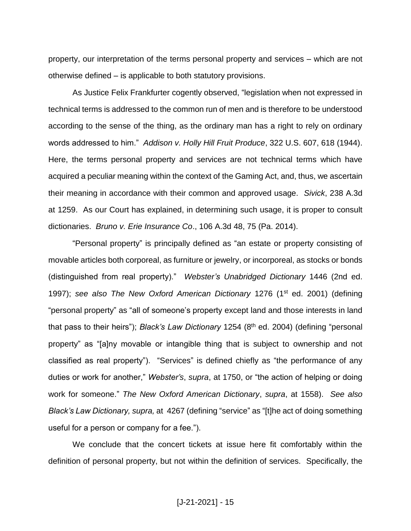property, our interpretation of the terms personal property and services – which are not otherwise defined – is applicable to both statutory provisions.

As Justice Felix Frankfurter cogently observed, "legislation when not expressed in technical terms is addressed to the common run of men and is therefore to be understood according to the sense of the thing, as the ordinary man has a right to rely on ordinary words addressed to him." *Addison v. Holly Hill Fruit Produce*, 322 U.S. 607, 618 (1944). Here, the terms personal property and services are not technical terms which have acquired a peculiar meaning within the context of the Gaming Act, and, thus, we ascertain their meaning in accordance with their common and approved usage. *Sivick*, 238 A.3d at 1259. As our Court has explained, in determining such usage, it is proper to consult dictionaries. *Bruno v. Erie Insurance Co*., 106 A.3d 48, 75 (Pa. 2014).

"Personal property" is principally defined as "an estate or property consisting of movable articles both corporeal, as furniture or jewelry, or incorporeal, as stocks or bonds (distinguished from real property)." *Webster's Unabridged Dictionary* 1446 (2nd ed. 1997); see also The New Oxford American Dictionary 1276 (1<sup>st</sup> ed. 2001) (defining "personal property" as "all of someone's property except land and those interests in land that pass to their heirs"); *Black's Law Dictionary* 1254 (8<sup>th</sup> ed. 2004) (defining "personal property" as "[a]ny movable or intangible thing that is subject to ownership and not classified as real property"). "Services" is defined chiefly as "the performance of any duties or work for another," *Webster's*, *supra*, at 1750, or "the action of helping or doing work for someone." *The New Oxford American Dictionary*, *supra*, at 1558). *See also Black's Law Dictionary, supra,* at 4267 (defining "service" as "[t]he act of doing something useful for a person or company for a fee.").

We conclude that the concert tickets at issue here fit comfortably within the definition of personal property, but not within the definition of services. Specifically, the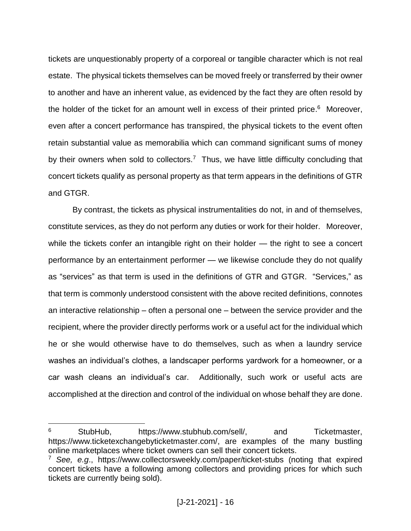tickets are unquestionably property of a corporeal or tangible character which is not real estate. The physical tickets themselves can be moved freely or transferred by their owner to another and have an inherent value, as evidenced by the fact they are often resold by the holder of the ticket for an amount well in excess of their printed price.<sup>6</sup> Moreover, even after a concert performance has transpired, the physical tickets to the event often retain substantial value as memorabilia which can command significant sums of money by their owners when sold to collectors.<sup>7</sup> Thus, we have little difficulty concluding that concert tickets qualify as personal property as that term appears in the definitions of GTR and GTGR.

By contrast, the tickets as physical instrumentalities do not, in and of themselves, constitute services, as they do not perform any duties or work for their holder. Moreover, while the tickets confer an intangible right on their holder — the right to see a concert performance by an entertainment performer — we likewise conclude they do not qualify as "services" as that term is used in the definitions of GTR and GTGR. "Services," as that term is commonly understood consistent with the above recited definitions, connotes an interactive relationship – often a personal one – between the service provider and the recipient, where the provider directly performs work or a useful act for the individual which he or she would otherwise have to do themselves, such as when a laundry service washes an individual's clothes, a landscaper performs yardwork for a homeowner, or a car wash cleans an individual's car. Additionally, such work or useful acts are accomplished at the direction and control of the individual on whose behalf they are done.

 $6$  StubHub, https://www.stubhub.com/sell/, and Ticketmaster, https://www.ticketexchangebyticketmaster.com/, are examples of the many bustling online marketplaces where ticket owners can sell their concert tickets.

<sup>7</sup> *See, e.g*., https://www.collectorsweekly.com/paper/ticket-stubs (noting that expired concert tickets have a following among collectors and providing prices for which such tickets are currently being sold).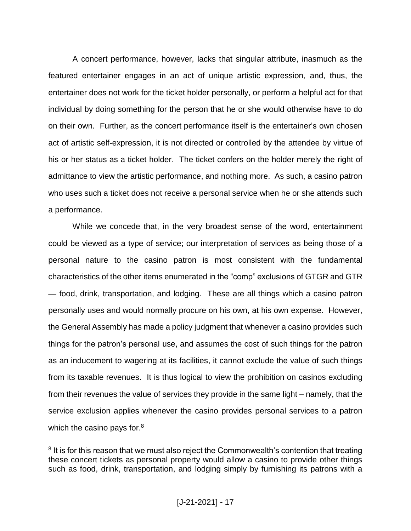A concert performance, however, lacks that singular attribute, inasmuch as the featured entertainer engages in an act of unique artistic expression, and, thus, the entertainer does not work for the ticket holder personally, or perform a helpful act for that individual by doing something for the person that he or she would otherwise have to do on their own. Further, as the concert performance itself is the entertainer's own chosen act of artistic self-expression, it is not directed or controlled by the attendee by virtue of his or her status as a ticket holder. The ticket confers on the holder merely the right of admittance to view the artistic performance, and nothing more. As such, a casino patron who uses such a ticket does not receive a personal service when he or she attends such a performance.

While we concede that, in the very broadest sense of the word, entertainment could be viewed as a type of service; our interpretation of services as being those of a personal nature to the casino patron is most consistent with the fundamental characteristics of the other items enumerated in the "comp" exclusions of GTGR and GTR — food, drink, transportation, and lodging. These are all things which a casino patron personally uses and would normally procure on his own, at his own expense. However, the General Assembly has made a policy judgment that whenever a casino provides such things for the patron's personal use, and assumes the cost of such things for the patron as an inducement to wagering at its facilities, it cannot exclude the value of such things from its taxable revenues. It is thus logical to view the prohibition on casinos excluding from their revenues the value of services they provide in the same light – namely, that the service exclusion applies whenever the casino provides personal services to a patron which the casino pays for.<sup>8</sup>

<sup>&</sup>lt;sup>8</sup> It is for this reason that we must also reject the Commonwealth's contention that treating these concert tickets as personal property would allow a casino to provide other things such as food, drink, transportation, and lodging simply by furnishing its patrons with a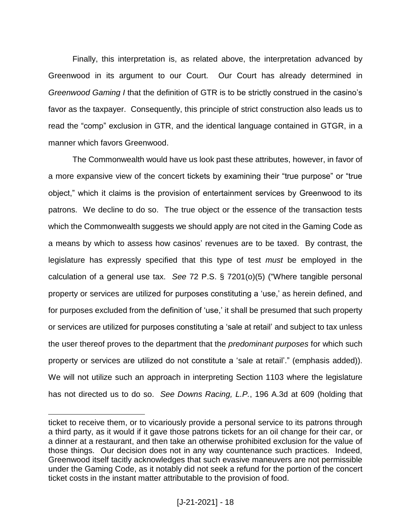Finally, this interpretation is, as related above, the interpretation advanced by Greenwood in its argument to our Court. Our Court has already determined in *Greenwood Gaming I* that the definition of GTR is to be strictly construed in the casino's favor as the taxpayer. Consequently, this principle of strict construction also leads us to read the "comp" exclusion in GTR, and the identical language contained in GTGR, in a manner which favors Greenwood.

The Commonwealth would have us look past these attributes, however, in favor of a more expansive view of the concert tickets by examining their "true purpose" or "true object," which it claims is the provision of entertainment services by Greenwood to its patrons. We decline to do so. The true object or the essence of the transaction tests which the Commonwealth suggests we should apply are not cited in the Gaming Code as a means by which to assess how casinos' revenues are to be taxed. By contrast, the legislature has expressly specified that this type of test *must* be employed in the calculation of a general use tax. *See* 72 P.S. § 7201(o)(5) ("Where tangible personal property or services are utilized for purposes constituting a 'use,' as herein defined, and for purposes excluded from the definition of 'use,' it shall be presumed that such property or services are utilized for purposes constituting a 'sale at retail' and subject to tax unless the user thereof proves to the department that the *predominant purposes* for which such property or services are utilized do not constitute a 'sale at retail'." (emphasis added)). We will not utilize such an approach in interpreting Section 1103 where the legislature has not directed us to do so. *See Downs Racing, L.P.*, 196 A.3d at 609 (holding that

ticket to receive them, or to vicariously provide a personal service to its patrons through a third party, as it would if it gave those patrons tickets for an oil change for their car, or a dinner at a restaurant, and then take an otherwise prohibited exclusion for the value of those things. Our decision does not in any way countenance such practices. Indeed, Greenwood itself tacitly acknowledges that such evasive maneuvers are not permissible under the Gaming Code, as it notably did not seek a refund for the portion of the concert ticket costs in the instant matter attributable to the provision of food.